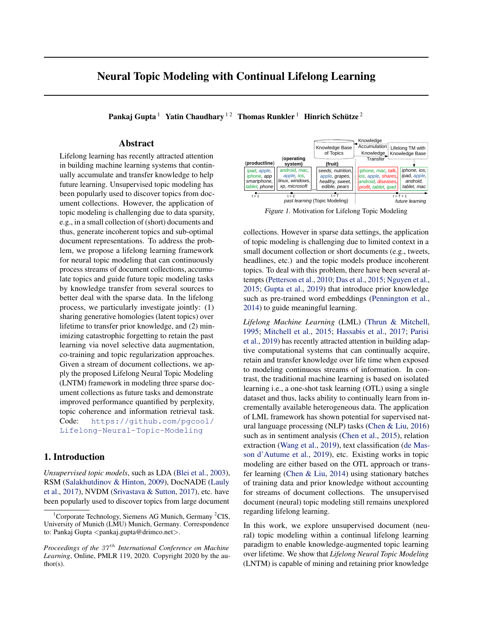# <span id="page-0-0"></span>Neural Topic Modeling with Continual Lifelong Learning

Pankaj Gupta  $^1\;$  Yatin Chaudhary  $^{1\,2}\;$  Thomas Runkler  $^1\;$  Hinrich Schütze  $^2$ 

# Abstract

Lifelong learning has recently attracted attention in building machine learning systems that continually accumulate and transfer knowledge to help future learning. Unsupervised topic modeling has been popularly used to discover topics from document collections. However, the application of topic modeling is challenging due to data sparsity, e.g., in a small collection of (short) documents and thus, generate incoherent topics and sub-optimal document representations. To address the problem, we propose a lifelong learning framework for neural topic modeling that can continuously process streams of document collections, accumulate topics and guide future topic modeling tasks by knowledge transfer from several sources to better deal with the sparse data. In the lifelong process, we particularly investigate jointly: (1) sharing generative homologies (latent topics) over lifetime to transfer prior knowledge, and (2) minimizing catastrophic forgetting to retain the past learning via novel selective data augmentation, co-training and topic regularization approaches. Given a stream of document collections, we apply the proposed Lifelong Neural Topic Modeling (LNTM) framework in modeling three sparse document collections as future tasks and demonstrate improved performance quantified by perplexity, topic coherence and information retrieval task. Code: [https://github.com/pgcool/](https://github.com/pgcool/Lifelong-Neural-Topic-Modeling) [Lifelong-Neural-Topic-Modeling](https://github.com/pgcool/Lifelong-Neural-Topic-Modeling)

# 1. Introduction

*Unsupervised topic models*, such as LDA [\(Blei et al.,](#page-8-0) [2003\)](#page-8-0), RSM [\(Salakhutdinov & Hinton,](#page-10-0) [2009\)](#page-10-0), DocNADE [\(Lauly](#page-9-0) [et al.,](#page-9-0) [2017\)](#page-9-0), NVDM [\(Srivastava & Sutton,](#page-10-0) [2017\)](#page-10-0), etc. have been popularly used to discover topics from large document



Figure 1. Motivation for Lifelong Topic Modeling

collections. However in sparse data settings, the application of topic modeling is challenging due to limited context in a small document collection or short documents (e.g., tweets, headlines, etc.) and the topic models produce incoherent topics. To deal with this problem, there have been several attempts [\(Petterson et al.,](#page-10-0) [2010;](#page-10-0) [Das et al.,](#page-9-0) [2015;](#page-9-0) [Nguyen et al.,](#page-9-0) [2015;](#page-9-0) [Gupta et al.,](#page-9-0) [2019\)](#page-9-0) that introduce prior knowledge such as pre-trained word embeddings [\(Pennington et al.,](#page-9-0) [2014\)](#page-9-0) to guide meaningful learning.

*Lifelong Machine Learning* (LML) [\(Thrun & Mitchell,](#page-10-0) [1995;](#page-10-0) [Mitchell et al.,](#page-9-0) [2015;](#page-9-0) [Hassabis et al.,](#page-9-0) [2017;](#page-9-0) [Parisi](#page-9-0) [et al.,](#page-9-0) [2019\)](#page-9-0) has recently attracted attention in building adaptive computational systems that can continually acquire, retain and transfer knowledge over life time when exposed to modeling continuous streams of information. In contrast, the traditional machine learning is based on isolated learning i.e., a one-shot task learning (OTL) using a single dataset and thus, lacks ability to continually learn from incrementally available heterogeneous data. The application of LML framework has shown potential for supervised natural language processing (NLP) tasks [\(Chen & Liu,](#page-9-0) [2016\)](#page-9-0) such as in sentiment analysis [\(Chen et al.,](#page-9-0) [2015\)](#page-9-0), relation extraction [\(Wang et al.,](#page-10-0) [2019\)](#page-10-0), text classification [\(de Mas](#page-9-0)[son d'Autume et al.,](#page-9-0) [2019\)](#page-9-0), etc. Existing works in topic modeling are either based on the OTL approach or transfer learning [\(Chen & Liu,](#page-8-0) [2014\)](#page-8-0) using stationary batches of training data and prior knowledge without accounting for streams of document collections. The unsupervised document (neural) topic modeling still remains unexplored regarding lifelong learning.

In this work, we explore unsupervised document (neural) topic modeling within a continual lifelong learning paradigm to enable knowledge-augmented topic learning over lifetime. We show that *Lifelong Neural Topic Modeling* (LNTM) is capable of mining and retaining prior knowledge

<sup>&</sup>lt;sup>1</sup>Corporate Technology, Siemens AG Munich, Germany  ${}^{2}CIS$ , University of Munich (LMU) Munich, Germany. Correspondence to: Pankaj Gupta <pankaj.gupta@drimco.net>.

*Proceedings of the 37<sup>th</sup> International Conference on Machine Learning*, Online, PMLR 119, 2020. Copyright 2020 by the author(s).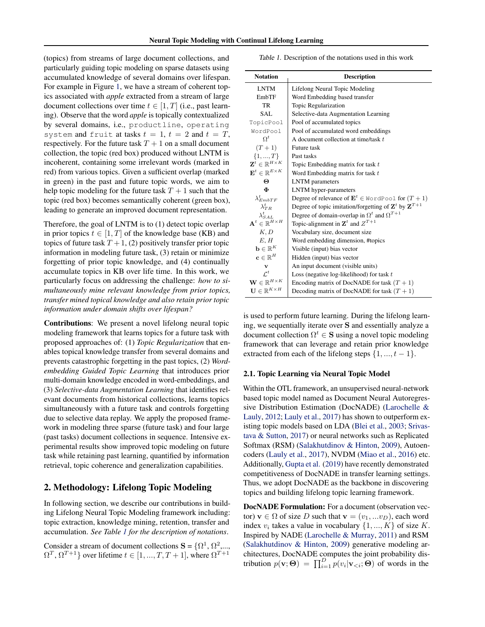<span id="page-1-0"></span>(topics) from streams of large document collections, and particularly guiding topic modeling on sparse datasets using accumulated knowledge of several domains over lifespan. For example in Figure [1,](#page-0-0) we have a stream of coherent topics associated with *apple* extracted from a stream of large document collections over time  $t \in [1, T]$  (i.e., past learning). Observe that the word *apple* is topically contextualized by several domains, i.e., productline, operating system and fruit at tasks  $t = 1$ ,  $t = 2$  and  $t = T$ , respectively. For the future task  $T + 1$  on a small document collection, the topic (red box) produced without LNTM is incoherent, containing some irrelevant words (marked in red) from various topics. Given a sufficient overlap (marked in green) in the past and future topic words, we aim to help topic modeling for the future task  $T + 1$  such that the topic (red box) becomes semantically coherent (green box), leading to generate an improved document representation.

Therefore, the goal of LNTM is to (1) detect topic overlap in prior topics  $t \in [1, T]$  of the knowledge base (KB) and topics of future task  $T + 1$ , (2) positively transfer prior topic information in modeling future task, (3) retain or minimize forgetting of prior topic knowledge, and (4) continually accumulate topics in KB over life time. In this work, we particularly focus on addressing the challenge: *how to simultaneously mine relevant knowledge from prior topics, transfer mined topical knowledge and also retain prior topic information under domain shifts over lifespan?*

Contributions: We present a novel lifelong neural topic modeling framework that learns topics for a future task with proposed approaches of: (1) *Topic Regularization* that enables topical knowledge transfer from several domains and prevents catastrophic forgetting in the past topics, (2) *Wordembedding Guided Topic Learning* that introduces prior multi-domain knowledge encoded in word-embeddings, and (3) *Selective-data Augmentation Learning* that identifies relevant documents from historical collections, learns topics simultaneously with a future task and controls forgetting due to selective data replay. We apply the proposed framework in modeling three sparse (future task) and four large (past tasks) document collections in sequence. Intensive experimental results show improved topic modeling on future task while retaining past learning, quantified by information retrieval, topic coherence and generalization capabilities.

# 2. Methodology: Lifelong Topic Modeling

In following section, we describe our contributions in building Lifelong Neural Topic Modeling framework including: topic extraction, knowledge mining, retention, transfer and accumulation. *See Table 1 for the description of notations*.

Consider a stream of document collections  $S = \{ \Omega^1, \Omega^2, \dots, \Omega^m \}$  $\Omega^T$ ,  $\Omega^{T+1}$ } over lifetime  $t \in [1, ..., T, T+1]$ , where  $\Omega^{T+1}$ 

|  | Table 1. Description of the notations used in this work |  |  |  |  |  |
|--|---------------------------------------------------------|--|--|--|--|--|
|--|---------------------------------------------------------|--|--|--|--|--|

| <b>Notation</b>                            | <b>Description</b>                                                           |
|--------------------------------------------|------------------------------------------------------------------------------|
| <b>LNTM</b>                                | Lifelong Neural Topic Modeling                                               |
| EmbTF                                      | Word Embedding based transfer                                                |
| TR                                         | Topic Regularization                                                         |
| SAL                                        | Selective-data Augmentation Learning                                         |
| TopicPool                                  | Pool of accumulated topics                                                   |
| WordPool                                   | Pool of accumulated word embeddings                                          |
| $\Omega^t$                                 | A document collection at time/task t                                         |
| $(T + 1)$                                  | Future task                                                                  |
| $\{1, , T\}$                               | Past tasks                                                                   |
| $\mathbf{Z}^t \in \mathbb{R}^{H \times K}$ | Topic Embedding matrix for task t                                            |
| $\mathbf{E}^t \in \mathbb{R}^{E \times K}$ | Word Embedding matrix for task t                                             |
| Θ                                          | <b>LNTM</b> parameters                                                       |
| Ф                                          | LNTM hyper-parameters                                                        |
| $\lambda^t_{EmbTF}$                        | Degree of relevance of $\mathbf{E}^t \in \text{WordPool}$ for $(T+1)$        |
| $\lambda_{TB}^{t}$                         | Degree of topic imitation/forgetting of $\mathbf{Z}^t$ by $\mathbf{Z}^{T+1}$ |
| $\lambda_{SAL}^t$                          | Degree of domain-overlap in $\Omega^t$ and $\Omega^{T+1}$                    |
| $\mathbf{A}^t \in \mathbb{R}^{H \times H}$ | Topic-alignment in $\mathbf{Z}^t$ and $Z^{T+1}$                              |
| K, D                                       | Vocabulary size, document size                                               |
| E.H                                        | Word embedding dimension, #topics                                            |
| $\mathbf{b} \in \mathbb{R}^K$              | Visible (input) bias vector                                                  |
| $\mathbf{c} \in \mathbb{R}^H$              | Hidden (input) bias vector                                                   |
| v                                          | An input document (visible units)                                            |
| $\mathcal{L}^t$                            | Loss (negative log-likelihood) for task $t$                                  |
| $\mathbf{W} \in \mathbb{R}^{H \times K}$   | Encoding matrix of DocNADE for task $(T + 1)$                                |
| $\mathbf{U} \in \mathbb{R}^{K \times H}$   | Decoding matrix of DocNADE for task $(T + 1)$                                |

is used to perform future learning. During the lifelong learning, we sequentially iterate over S and essentially analyze a document collection  $\Omega^t \in \mathbf{S}$  using a novel topic modeling framework that can leverage and retain prior knowledge extracted from each of the lifelong steps  $\{1, ..., t - 1\}$ .

#### 2.1. Topic Learning via Neural Topic Model

Within the OTL framework, an unsupervised neural-network based topic model named as Document Neural Autoregressive Distribution Estimation (DocNADE) [\(Larochelle &](#page-9-0) [Lauly,](#page-9-0) [2012;](#page-9-0) [Lauly et al.,](#page-9-0) [2017\)](#page-9-0) has shown to outperform existing topic models based on LDA [\(Blei et al.,](#page-8-0) [2003;](#page-8-0) [Srivas](#page-10-0)[tava & Sutton,](#page-10-0) [2017\)](#page-10-0) or neural networks such as Replicated Softmax (RSM) [\(Salakhutdinov & Hinton,](#page-10-0) [2009\)](#page-10-0), Autoencoders [\(Lauly et al.,](#page-9-0) [2017\)](#page-9-0), NVDM [\(Miao et al.,](#page-9-0) [2016\)](#page-9-0) etc. Additionally, [Gupta et al.](#page-9-0) [\(2019\)](#page-9-0) have recently demonstrated competitiveness of DocNADE in transfer learning settings. Thus, we adopt DocNADE as the backbone in discovering topics and building lifelong topic learning framework.

DocNADE Formulation: For a document (observation vector)  $\mathbf{v} \in \Omega$  of size D such that  $\mathbf{v} = (v_1, ... v_D)$ , each word index  $v_i$  takes a value in vocabulary  $\{1, ..., K\}$  of size K. Inspired by NADE [\(Larochelle & Murray,](#page-9-0) [2011\)](#page-9-0) and RSM [\(Salakhutdinov & Hinton,](#page-10-0) [2009\)](#page-10-0) generative modeling architectures, DocNADE computes the joint probability distribution  $p(\mathbf{v}; \boldsymbol{\Theta}) = \prod_{i=1}^{D} p(v_i | \mathbf{v}_{\leq i}; \boldsymbol{\Theta})$  of words in the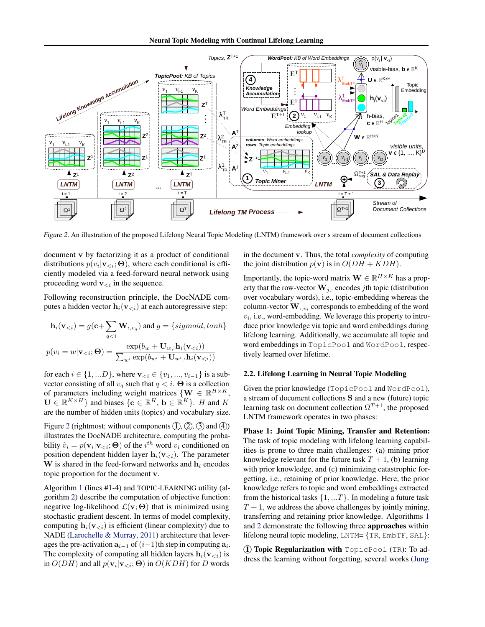<span id="page-2-0"></span>

Figure 2. An illustration of the proposed Lifelong Neural Topic Modeling (LNTM) framework over s stream of document collections

document v by factorizing it as a product of conditional distributions  $p(v_i|\mathbf{v}_{< i}; \Theta)$ , where each conditional is efficiently modeled via a feed-forward neural network using proceeding word  $\mathbf{v}_{< i}$  in the sequence.

Following reconstruction principle, the DocNADE computes a hidden vector  $\mathbf{h}_i(\mathbf{v}_{< i})$  at each autoregressive step:

$$
\mathbf{h}_i(\mathbf{v}_{< i}) = g(\mathbf{c} + \sum_{q < i} \mathbf{W}_{:, v_q}) \text{ and } g = \{sigmoid, tanh\}
$$
\n
$$
p(v_i = w | \mathbf{v}_{< i}; \mathbf{\Theta}) = \frac{\exp(b_w + \mathbf{U}_{w,:} \mathbf{h}_i(\mathbf{v}_{< i}))}{\sum_{w'} \exp(b_{w'} + \mathbf{U}_{w',:} \mathbf{h}_i(\mathbf{v}_{< i}))}
$$

for each  $i \in \{1, ...D\}$ , where  $\mathbf{v}_{< i} \in \{v_1, ..., v_{i-1}\}$  is a subvector consisting of all  $v_q$  such that  $q < i$ .  $\Theta$  is a collection of parameters including weight matrices  $\{ \mathbf{W} \in \mathbb{R}^{H \times K}, \}$  $\mathbf{U} \in \mathbb{R}^{K \times H}$  and biases  $\{\mathbf{c} \in \mathbb{R}^H, \mathbf{b} \in \mathbb{R}^K\}$ . *H* and *K* are the number of hidden units (topics) and vocabulary size.

Figure 2 (rightmost; without components  $(1, 2, 3)$  and  $(4)$ ) illustrates the DocNADE architecture, computing the probability  $\hat{v}_i = p(\mathbf{v}_i | \mathbf{v}_{\leq i}; \Theta)$  of the  $i^{th}$  word  $v_i$  conditioned on position dependent hidden layer  $h_i(v_{\leq i})$ . The parameter W is shared in the feed-forward networks and  $h_i$  encodes topic proportion for the document v.

Algorithm [1](#page-3-0) (lines #1-4) and TOPIC-LEARNING utility (algorithm [2\)](#page-4-0) describe the computation of objective function: negative log-likelihood  $\mathcal{L}(\mathbf{v}; \Theta)$  that is minimized using stochastic gradient descent. In terms of model complexity, computing  $h_i(v_{\leq i})$  is efficient (linear complexity) due to NADE [\(Larochelle & Murray,](#page-9-0) [2011\)](#page-9-0) architecture that leverages the pre-activation  $a_{i-1}$  of  $(i-1)$ th step in computing  $a_i$ . The complexity of computing all hidden layers  $\mathbf{h}_i(\mathbf{v}_{< i})$  is in  $O(DH)$  [and all](#page-9-0)  $p(\mathbf{v}_i | \mathbf{v}_{\leq i}; \mathbf{\Theta})$  in  $O(KDH)$  for D words

in the document v. Thus, the total *complexity* of computing the joint distribution  $p(\mathbf{v})$  is in  $O(DH + KDH)$ .

Importantly, the topic-word matrix  $\mathbf{W} \in \mathbb{R}^{H \times K}$  has a property that the row-vector  $\mathbf{W}_{j,:}$  encodes jth topic (distribution over vocabulary words), i.e., topic-embedding whereas the column-vector  $\mathbf{W}_{:,v_i}$  corresponds to embedding of the word  $v_i$ , i.e., word-embedding. We leverage this property to introduce prior knowledge via topic and word embeddings during lifelong learning. Additionally, we accumulate all topic and word embeddings in TopicPool and WordPool, respectively learned over lifetime.

### 2.2. Lifelong Learning in Neural Topic Modeling

Given the prior knowledge (TopicPool and WordPool), a stream of document collections S and a new (future) topic learning task on document collection  $\Omega^{T+1}$ , the proposed LNTM framework operates in two phases:

Phase 1: Joint Topic Mining, Transfer and Retention: The task of topic modeling with lifelong learning capabilities is prone to three main challenges: (a) mining prior knowledge relevant for the future task  $T + 1$ , (b) learning with prior knowledge, and (c) minimizing catastrophic forgetting, i.e., retaining of prior knowledge. Here, the prior knowledge refers to topic and word embeddings extracted from the historical tasks  $\{1, ...T\}$ . In modeling a future task  $T + 1$ , we address the above challenges by jointly mining, transferring and retaining prior knowledge. Algorithms [1](#page-3-0) and [2](#page-4-0) demonstrate the following three approaches within lifelong neural topic modeling, LNTM= {TR, EmbTF, SAL}:

 $(1)$  Topic Regularization with  $TopicPool$  (TR): To address the learning without forgetting, several works [\(Jung](#page-9-0)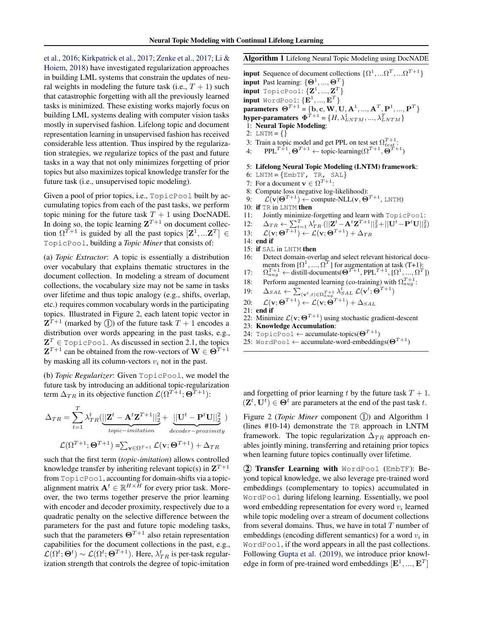<span id="page-3-0"></span>[et al.,](#page-9-0) [2016;](#page-9-0) [Kirkpatrick et al.,](#page-9-0) [2017;](#page-9-0) [Zenke et al.,](#page-10-0) [2017;](#page-10-0) [Li &](#page-9-0) [Hoiem,](#page-9-0) [2018\)](#page-9-0) have investigated regularization approaches in building LML systems that constrain the updates of neural weights in modeling the future task (i.e.,  $T + 1$ ) such that catastrophic forgetting with all the previously learned tasks is minimized. These existing works majorly focus on building LML systems dealing with computer vision tasks mostly in supervised fashion. Lifelong topic and document representation learning in unsupervised fashion has received considerable less attention. Thus inspired by the regularization strategies, we regularize topics of the past and future tasks in a way that not only minimizes forgetting of prior topics but also maximizes topical knowledge transfer for the future task (i.e., unsupervised topic modeling).

Given a pool of prior topics, i.e., TopicPool built by accumulating topics from each of the past tasks, we perform topic mining for the future task  $T + 1$  using DocNADE. In doing so, the topic learning  $Z^{T+1}$  on document collection  $\Omega^{T+1}$  is guided by all the past topics  $[\mathbf{Z}^1, \dots, \mathbf{Z}^T] \in$ TopicPool, building a *Topic Miner* that consists of:

(a) *Topic Extractor*: A topic is essentially a distribution over vocabulary that explains thematic structures in the document collection. In modeling a stream of document collections, the vocabulary size may not be same in tasks over lifetime and thus topic analogy (e.g., shifts, overlap, etc.) requires common vocabulary words in the participating topics. Illustrated in Figure [2,](#page-2-0) each latent topic vector in  $\mathbf{Z}^{T+1}$  (marked by 1) of the future task  $T+1$  encodes a distribution over words appearing in the past tasks, e.g.,  $\mathbf{Z}^T \in \text{TopicPool}$ . As discussed in section [2.1,](#page-1-0) the topics  $\mathbf{Z}^{T+1}$  can be obtained from the row-vectors of  $\mathbf{W} \in \Theta^{T+1}$ by masking all its column-vectors  $v_i$  not in the past.

(b) *Topic Regularizer*: Given TopicPool, we model the future task by introducing an additional topic-regularization term  $\Delta_{TR}$  in its objective function  $\mathcal{L}(\Omega^{T+1}; \Theta^{T+1})$ :

$$
\Delta_{TR} = \sum_{t=1}^{T} \lambda_{TR}^t (||\mathbf{Z}^t - \mathbf{A}^t \mathbf{Z}^{T+1}||_2^2 + \frac{||\mathbf{U}^t - \mathbf{P}^t \mathbf{U}||_2^2}{\text{decoder}-\text{proximity}}
$$

$$
\mathcal{L}(\Omega^{T+1}; \Theta^{T+1}) = \sum_{\mathbf{v} \in \Omega^{T+1}} \mathcal{L}(\mathbf{v}; \Theta^{T+1}) + \Delta_{TR}
$$

such that the first term (*topic-imitation*) allows controlled knowledge transfer by inheriting relevant topic(s) in  $\mathbf{Z}^{T+1}$ from TopicPool, accounting for domain-shifts via a topicalignment matrix  $A^t \in \mathbb{R}^{H \times \bar{H}}$  for every prior task. Moreover, the two terms together preserve the prior learning with encoder and decoder proximity, respectively due to a quadratic penalty on the selective difference between the parameters for the past and future topic modeling tasks, such that the parameters  $\Theta^{T+1}$  also retain representation capabilities for the document collections in the past, e.g.,  $\mathcal{L}(\Omega^t; \Theta^t) \sim \mathcal{L}(\Omega^t; \Theta^{T+1})$ . Here,  $\lambda_{TR}^t$  is per-task regularization strength that controls the degree of topic-imitation

#### Algorithm 1 Lifelong Neural Topic Modeling using DocNADE

**input** Sequence of document collections  $\{\Omega^1, ...\Omega^T, ...\Omega^{T+1}\}\$ **input** Past learning:  $\{\Theta^1, ..., \Theta^T\}$  $\quad \quad \text{input TopicPool:}~\{\mathbf{Z}^1,...,\mathbf{Z}^T\}$ }  $\quad \text{input WordPool: } \{\mathbf{E}^1, ..., \mathbf{E}^T\}$ parameters  $\Theta^{T+1} = \{b, c, W, U, A^1, ..., A^T, P^1, ..., P^T\}$ hyper-paramaters  $\mathbf{\Phi}^{T+1} = \{H, \lambda_{LNTM}^1, ..., \lambda_{LNTM}^T\}$ 1: Neural Topic Modeling: 2: LNTM =  $\{\}$ 3: Train a topic model and get PPL on test set  $\Omega_{test}^{T+1}$ :

4: PPL<sup>T+1</sup>,  $\Theta^{T+1} \leftarrow$  topic-learning( $\Omega^{T+1}$ ,  $\Theta^{T+1}$ )

5: Lifelong Neural Topic Modeling (LNTM) framework:

- 6: LNTM =  ${EmbTF, TR, SAL}$
- 7: For a document  $\mathbf{v} \in \Omega^{T+1}$ :
- 8: Compute loss (negative log-likelihood):
- 9:  $\mathcal{L}(\mathbf{v}|\mathbf{\Theta}^{T+1}) \leftarrow \text{compute-NLL}(\mathbf{v}, \mathbf{\Theta}^{T+1}, \text{LNTM})$
- 10: if TR in LNTM then
- 11: Jointly minimize-forgetting and learn with TopicPool:
- 12:  $\Delta_{TR} \leftarrow \sum_{t=1}^{T} \lambda_{TR}^{t} (||\mathbf{Z}^{t} \mathbf{A}^{t} \mathbf{Z}^{T+1}||_2^2 + ||\mathbf{U}^{t} \mathbf{P}^{t} \mathbf{U}||_2^2)$
- 13:  $\mathcal{L}(\mathbf{v};\boldsymbol{\Theta}^{T+1}) \leftarrow \mathcal{L}(\mathbf{v};\boldsymbol{\Theta}^{T+1}) + \Delta_{TR}$
- 14: end if
- 15: if SAL in LNTM then
- 16: Detect domain-overlap and select relevant historical documents from  $[\Omega^1, ..., \Omega^T]$  for augmentation at task (T+1):<br>  $\Omega_{aug}^{T+1} \leftarrow$  distill-documents( $\Theta^{T+1}$ , PPL<sup>T+1</sup>,  $[\Omega^1, ..., \Omega^T]$ )
- 17: Ω
- 18: Perform augmented learning (co-training) with  $\Omega_{aug}^{T+1}$ :

19: 
$$
\Delta_{SAL} \leftarrow \sum_{(\mathbf{v}^t, t) \in \Omega_{aug}^{T+1}} \lambda_{SAL}^t \mathcal{L}(\mathbf{v}^t; \mathbf{\Theta}^{T+1})
$$

- 20:  $\mathcal{L}(\mathbf{v};\boldsymbol{\Theta}^{T+1}) \leftarrow \mathcal{L}(\mathbf{v};\boldsymbol{\Theta}^{T+1}) + \Delta_{SAL}$
- 21: end if
- 22: Minimize  $\mathcal{L}(\mathbf{v}; \Theta^{T+1})$  using stochastic gradient-descent
- 23: Knowledge Accumulation:
- 24: TopicPool ← accumulate-topics( $\Theta^{T+1}$ )
- 25: WordPool  $\leftarrow$  accumulate-word-embeddings( $\Theta^{T+1}$ )

and forgetting of prior learning t by the future task  $T + 1$ .  $(\mathbf{Z}^t, \mathbf{U}^t) \in \Theta^t$  are parameters at the end of the past task t.

Figure [2](#page-2-0) (*Topic Miner* component 1) and Algorithm 1 (lines #10-14) demonstrate the TR approach in LNTM framework. The topic regularization  $\Delta_{TR}$  approach enables jointly mining, transferring and retaining prior topics when learning future topics continually over lifetime.

2 Transfer Learning with WordPool (EmbTF): Beyond topical knowledge, we also leverage pre-trained word embeddings (complementary to topics) accumulated in WordPool during lifelong learning. Essentially, we pool word embedding representation for every word  $v_i$  learned while topic modeling over a stream of document collections from several domains. Thus, we have in total  $T$  number of embeddings (encoding different semantics) for a word  $v_i$  in WordPool, if the word appears in all the past collections. Following [Gupta et al.](#page-9-0) [\(2019\)](#page-9-0), we introduce prior knowledge in form of pre-trained word embeddings  $[\mathbf{E}^1, ..., \mathbf{E}^T]$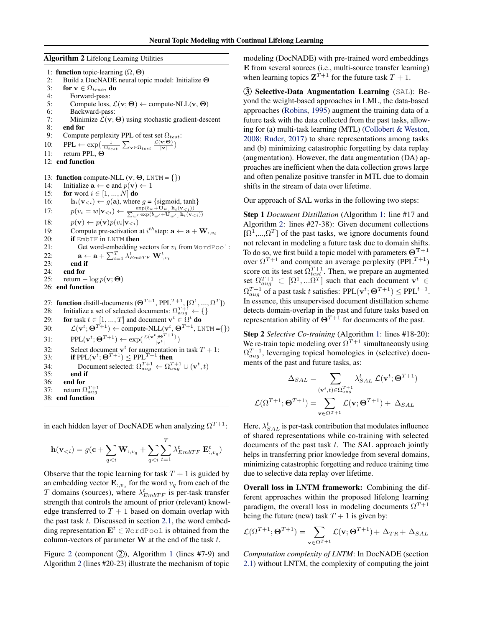#### <span id="page-4-0"></span>Algorithm 2 Lifelong Learning Utilities

1: **function** topic-learning  $(\Omega, \Theta)$ 2: Build a DocNADE neural topic model: Initialize  $\Theta$ <br>3: for  $\mathbf{v} \in \Omega_{train}$  do for  $\mathbf{v} \in \Omega_{train}$  do 4: Forward-pass: 5: Compute loss,  $\mathcal{L}(\mathbf{v}; \Theta) \leftarrow$  compute-NLL( $\mathbf{v}, \Theta$ ) 6: Backward-pass:<br>7: Minimize  $\mathcal{L}(\mathbf{v})$ : Minimize  $\mathcal{L}(\mathbf{v}; \Theta)$  using stochastic gradient-descent 8: end for 9: Compute perplexity PPL of test set  $\Omega_{test}$ : 10: PPL  $\leftarrow \exp(\frac{1}{|\Omega_{test}|}\sum_{\mathbf{v}\in\Omega_{test}}\frac{\mathcal{L}(\mathbf{v};\Theta)}{|\mathbf{v}|})$ 11: return PPL, Θ 12: end function 13: function compute-NLL  $(v, \Theta, LNTM = \{\})$ 14: Initialize  $\mathbf{a} \leftarrow \mathbf{c}$  and  $p(\mathbf{v}) \leftarrow 1$ 15: **for** word  $i \in [1, ..., N]$  **do** 16:  $\mathbf{h}_i(\mathbf{v}_{< i}) \leftarrow g(\mathbf{a})$ , where  $g = \{\text{sigmoid}, \text{tanh}\}\$ 17:  $p(v_i = w | \mathbf{v}_{< i}) \leftarrow \frac{\exp(b_w + \mathbf{U}_{w_i}, \mathbf{h}_i(\mathbf{v}_{< i}))}{\sum_{w'} \exp(b_{w'} + \mathbf{U}_{w',i} \mathbf{h}_i(\mathbf{v}_{< i}))}$ 18:  $p(\mathbf{v}) \leftarrow p(\mathbf{v})p(v_i|\mathbf{v}_{&i})$ 19: Compute pre-activation at  $i^{th}$  step:  $\mathbf{a} \leftarrow \mathbf{a} + \mathbf{W}_{:,v_i}$ 20: **if** EmbTF in LNTM **then**<br>21: **Get word-embedding** Get word-embedding vectors for  $v_i$  from WordPool: 22:  $\mathbf{a} \leftarrow \mathbf{a} + \sum_{t=1}^{T} \lambda_{EmbTF}^t \mathbf{W}_{:,v_i}^t$ 23: end if 24: end for 25: return  $-\log p(\mathbf{v}; \boldsymbol{\Theta})$ 26: end function 27: **function** distill-documents  $(\mathbf{\Theta}^{T+1}, \text{PPL}^{T+1}, [\Omega^1, ..., \Omega^T])$ 28: Initialize a set of selected documents:  $\Omega_{aug}^{T+1} \leftarrow \{\}$ 29: for task  $t \in [1, ..., T]$  and document  $\mathbf{v}^t \in \Omega^t$  do 30:  $\mathcal{L}(\mathbf{v}^t; \Theta^{T+1}) \leftarrow \text{compute-NLL}(\mathbf{v}^t, \Theta^{T+1}, \text{LNTM} = \{\})$ 31:  $\text{PPL}(\mathbf{v}^t; \mathbf{\Theta}^{T+1}) \leftarrow \exp(\frac{\mathcal{L}(\mathbf{v}^t; \mathbf{\Theta}^{T+1})}{|\mathbf{v}^t|})$ 32: Select document  $\mathbf{v}^t$  for augmentation in task  $T + 1$ : 33: if PPL $(\mathbf{v}^t; \mathbf{\Theta}^{T+1}) \leq \text{PPL}^{T+1}$  then 34: Document selected:  $\Omega_{aug}^{T+1} \leftarrow \Omega_{aug}^{T+1} \cup (\mathbf{v}^t, t)$ 35: end if 36: end for 37: return  $\Omega_{aug}^{T+1}$ 38: end function

in each hidden layer of DocNADE when analyzing  $\Omega^{T+1}$ :

$$
\mathbf{h}(\mathbf{v}_{< i}) = g(\mathbf{c} + \sum_{q < i} \mathbf{W}_{:, v_q} + \sum_{q < i} \sum_{t=1}^T \lambda_{EmbTF}^t \mathbf{E}_{:, v_q}^t)
$$

Observe that the topic learning for task  $T + 1$  is guided by an embedding vector  $\mathbf{E}_{:,v_q}$  for the word  $v_q$  from each of the T domains (sources), where  $\lambda_{EmbTF}^t$  is per-task transfer strength that controls the amount of prior (relevant) knowledge transferred to  $T + 1$  based on domain overlap with the past task  $t$ . Discussed in section [2.1,](#page-1-0) the word embedding representation  $E^t \in \text{WordPool}$  is obtained from the column-vectors of parameter  $W$  at the end of the task  $t$ .

Figure [2](#page-2-0) (component  $(2)$ ), Algorithm [1](#page-3-0) (lines #7-9) and Algorithm 2 (lines #20-23) illustrate the mechanism of topic modeling (DocNADE) with pre-trained word embeddings E from several sources (i.e., multi-source transfer learning) when learning topics  $\mathbf{Z}^{T+1}$  for the future task  $T + 1$ .

3 Selective-Data Augmentation Learning (SAL): Beyond the weight-based approaches in LML, the data-based approaches [\(Robins,](#page-10-0) [1995\)](#page-10-0) augment the training data of a future task with the data collected from the past tasks, allowing for (a) multi-task learning (MTL) [\(Collobert & Weston,](#page-9-0) [2008;](#page-9-0) [Ruder,](#page-10-0) [2017\)](#page-10-0) to share representations among tasks and (b) minimizing catastrophic forgetting by data replay (augmentation). However, the data augmentation (DA) approaches are inefficient when the data collection grows large and often penalize positive transfer in MTL due to domain shifts in the stream of data over lifetime.

Our approach of SAL works in the following two steps:

Step 1 *Document Distillation* (Algorithm [1:](#page-3-0) line #17 and Algorithm 2: lines #27-38): Given document collections [ $\Omega^1$ ,..., $\Omega^T$ ] of the past tasks, we ignore documents found not relevant in modeling a future task due to domain shifts. To do so, we first build a topic model with parameters  $\Theta^{T+1}$ over  $\Omega^{T+1}$  and compute an average perplexity (PPL<sup>T+1</sup>) score on its test set  $\Omega_{test}^{T+1}$ . Then, we prepare an augmented set  $\Omega_{aug}^{T+1} \subset [\Omega^1, ... \Omega^T]$  such that each document  $\mathbf{v}^t \in$  $\Omega_{aug}^{T+1}$  of a past task t satisfies: PPL( $\mathbf{v}^{t};\mathbf{\Theta}^{T+1})\leq \text{PPL}^{t+1}.$ In essence, this unsupervised document distillation scheme detects domain-overlap in the past and future tasks based on representation ability of  $\Theta^{T+1}$  for documents of the past.

Step 2 *Selective Co-training* (Algorithm [1:](#page-3-0) lines #18-20): We re-train topic modeling over  $\Omega^{T+1}$  simultaneously using  $\Omega_{aug}^{T+1}$ , leveraging topical homologies in (selective) documents of the past and future tasks, as:

$$
\Delta_{SAL} = \sum_{(\mathbf{v}^t, t) \in \Omega_{aug}^{T+1}} \lambda_{SAL}^t \mathcal{L}(\mathbf{v}^t; \mathbf{\Theta}^{T+1})
$$

$$
\mathcal{L}(\Omega^{T+1}; \mathbf{\Theta}^{T+1}) = \sum_{\mathbf{v} \in \Omega^{T+1}} \mathcal{L}(\mathbf{v}; \mathbf{\Theta}^{T+1}) + \Delta_{SAL}
$$

Here,  $\lambda_{SAL}^{t}$  is per-task contribution that modulates influence of shared representations while co-training with selected documents of the past task  $t$ . The SAL approach jointly helps in transferring prior knowledge from several domains, minimizing catastrophic forgetting and reduce training time due to selective data replay over lifetime.

Overall loss in LNTM framework: Combining the different approaches within the proposed lifelong learning paradigm, the overall loss in modeling documents  $\Omega^{T+1}$ being the future (new) task  $T + 1$  is given by:

$$
\mathcal{L}(\Omega^{T+1};\Theta^{T+1}) = \sum_{\mathbf{v}\in\Omega^{T+1}} \mathcal{L}(\mathbf{v};\Theta^{T+1}) + \Delta_{TR} + \Delta_{SAL}
$$

*Computation complexity of LNTM*: In DocNADE (section [2.1\)](#page-1-0) without LNTM, the complexity of computing the joint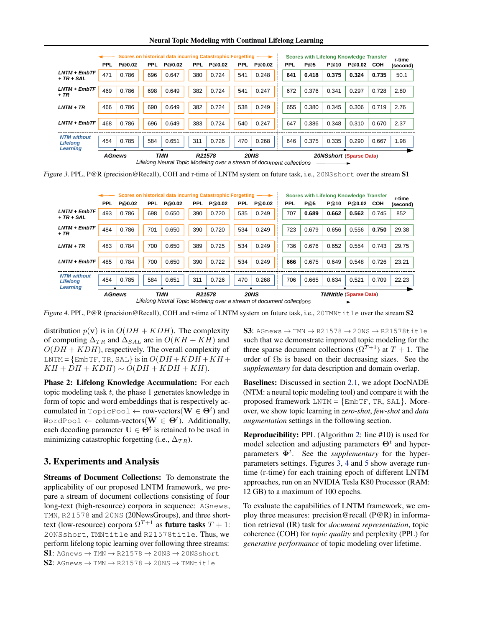| <b>Neural Topic Modeling with Continual Lifelong Learning</b> |  |
|---------------------------------------------------------------|--|
|---------------------------------------------------------------|--|

<span id="page-5-0"></span>

|                                       |                                                                      |        |            | Scores on historical data incurring Catastrophic Forgetting |            |        |            |             |  |     |       |       | <b>Scores with Lifelong Knowledge Transfer</b> |       | r-time   |
|---------------------------------------|----------------------------------------------------------------------|--------|------------|-------------------------------------------------------------|------------|--------|------------|-------------|--|-----|-------|-------|------------------------------------------------|-------|----------|
|                                       | <b>PPL</b>                                                           | P@0.02 | <b>PPL</b> | P@0.02                                                      | <b>PPL</b> | P@0.02 | <b>PPL</b> | P@0.02      |  | PPL | P@5   | P@10  | P@0.02                                         | COH   | (second) |
| $LNTM + EmbTF$<br>$+ TR + SAL$        | 471                                                                  | 0.786  | 696        | 0.647                                                       | 380        | 0.724  | 541        | 0.248       |  | 641 | 0.418 | 0.375 | 0.324                                          | 0.735 | 50.1     |
|                                       |                                                                      |        |            |                                                             |            |        |            |             |  |     |       |       |                                                |       |          |
| LNTM + EmbTF<br>+ TR                  | 469                                                                  | 0.786  | 698        | 0.649                                                       | 382        | 0.724  | 541        | 0.247       |  | 672 | 0.376 | 0.341 | 0.297                                          | 0.728 | 2.80     |
|                                       |                                                                      |        |            |                                                             |            |        |            |             |  |     |       |       |                                                |       |          |
| $LNTM + TR$                           | 466                                                                  | 0.786  | 690        | 0.649                                                       | 382        | 0.724  | 538        | 0.249       |  | 655 | 0.380 | 0.345 | 0.306                                          | 0.719 | 2.76     |
|                                       |                                                                      |        |            |                                                             |            |        |            |             |  |     |       |       |                                                |       |          |
| $LNTM + EmbTF$                        | 468                                                                  | 0.786  | 696        | 0.649                                                       | 383        | 0.724  | 540        | 0.247       |  | 647 | 0.386 | 0.348 | 0.310                                          | 0.670 | 2.37     |
|                                       |                                                                      |        |            |                                                             |            |        |            |             |  |     |       |       |                                                |       |          |
| <b>NTM</b> without<br><b>Lifelong</b> | 454                                                                  | 0.785  | 584        | 0.651                                                       | 311        | 0.726  | 470        | 0.268       |  | 646 | 0.375 | 0.335 | 0.290                                          | 0.667 | 1.98     |
| Learning                              |                                                                      |        |            |                                                             |            |        |            |             |  |     |       |       |                                                |       |          |
|                                       | <b>AGnews</b>                                                        |        |            | <b>TMN</b>                                                  | R21578     |        |            | <b>20NS</b> |  |     |       |       | <b>20NSshort (Sparse Data)</b>                 |       |          |
|                                       | Lifelong Neural Topic Modeling over a stream of document collections |        |            |                                                             |            |        |            |             |  |     |       |       |                                                |       |          |

Figure 3. PPL, P@R (precision@Recall), COH and r-time of LNTM system on future task, i.e., 20NSshort over the stream S1

|                                                   |                                                                      |        |            | Scores on historical data incurring Catastrophic Forgetting |            |        |            |             |  |     |       |       | <b>Scores with Lifelong Knowledge Transfer</b> |       | r-time   |
|---------------------------------------------------|----------------------------------------------------------------------|--------|------------|-------------------------------------------------------------|------------|--------|------------|-------------|--|-----|-------|-------|------------------------------------------------|-------|----------|
|                                                   | <b>PPL</b>                                                           | P@0.02 | <b>PPL</b> | P@0.02                                                      | <b>PPL</b> | P@0.02 | <b>PPL</b> | P@0.02      |  | PPL | P@5   | P@10  | P@0.02                                         | COH   | (second) |
| $LNTM + EmbTF$<br>$+ TR + SAL$                    | 493                                                                  | 0.786  | 698        | 0.650                                                       | 390        | 0.720  | 535        | 0.249       |  | 707 | 0.689 | 0.662 | 0.562                                          | 0.745 | 852      |
| $LNTM + EmbTF$<br>+ TR                            | 484                                                                  | 0.786  | 701        | 0.650                                                       | 390        | 0.720  | 534        | 0.249       |  | 723 | 0.679 | 0.656 | 0.556                                          | 0.750 | 29.38    |
| $LNTM + TR$                                       | 483                                                                  | 0.784  | 700        | 0.650                                                       | 389        | 0.725  | 534        | 0.249       |  | 736 | 0.676 | 0.652 | 0.554                                          | 0.743 | 29.75    |
| $LNTM + EmbTF$                                    | 485                                                                  | 0.784  | 700        | 0.650                                                       | 390        | 0.722  | 534        | 0.249       |  | 666 | 0.675 | 0.649 | 0.548                                          | 0.726 | 23.21    |
| <b>NTM</b> without<br><b>Lifelong</b><br>Learning | 454                                                                  | 0.785  | 584        | 0.651                                                       | 311        | 0.726  | 470        | 0.268       |  | 706 | 0.665 | 0.634 | 0.521                                          | 0.709 | 22.23    |
|                                                   | <b>AGnews</b>                                                        |        |            | <b>TMN</b>                                                  | R21578     |        |            | <b>20NS</b> |  |     |       |       | <b>TMNtitle (Sparse Data)</b>                  |       |          |
|                                                   | Lifelong Neural Topic Modeling over a stream of document collections |        |            |                                                             |            |        |            |             |  |     |       |       |                                                |       |          |

Figure 4. PPL, P@R (precision@Recall), COH and r-time of LNTM system on future task, i.e., 20TMNtitle over the stream  $S2$ 

distribution  $p(\mathbf{v})$  is in  $O(DH + KDH)$ . The complexity of computing  $\Delta_{TR}$  and  $\Delta_{SAL}$  are in  $O(KH + KH)$  and  $O(DH + KDH)$ , respectively. The overall complexity of LNTM = {EmbTF, TR, SAL} is in  $O(DH + KDH + KH +$  $KH + DH + KDH$ ) ∼  $O(DH + KDH + KH)$ .

Phase 2: Lifelong Knowledge Accumulation: For each topic modeling task  $t$ , the phase 1 generates knowledge in form of topic and word embeddings that is respectively accumulated in TopicPool  $\leftarrow$  row-vectors $(\mathbf{W} \in \mathbf{\Theta}^t)$  and WordPool  $\leftarrow$  column-vectors $(\mathbf{W} \in \mathbf{\Theta}^t)$ . Additionally, each decoding parameter  $U \in \Theta^t$  is retained to be used in minimizing catastrophic forgetting (i.e.,  $\Delta_{TR}$ ).

# 3. Experiments and Analysis

Streams of Document Collections: To demonstrate the applicability of our proposed LNTM framework, we prepare a stream of document collections consisting of four long-text (high-resource) corpora in sequence: AGnews, TMN, R21578 and 20NS (20NewsGroups), and three shorttext (low-resource) corpora  $\Omega^{T+1}$  as **future tasks**  $T + 1$ : 20NSshort, TMNtitle and R21578title. Thus, we perform lifelong topic learning over following three streams:  $SI:$  AGnews  $\rightarrow$  TMN  $\rightarrow$  R21578  $\rightarrow$  20NS  $\rightarrow$  20NSshort S2: AGnews  $\rightarrow$  TMN  $\rightarrow$  R21578  $\rightarrow$  20NS  $\rightarrow$  TMNtitle

S3: AGnews  $\rightarrow$  TMN  $\rightarrow$  R21578  $\rightarrow$  20NS  $\rightarrow$  R21578title such that we demonstrate improved topic modeling for the three sparse document collections  $(\Omega^{T+1})$  at  $T+1$ . The order of  $\Omega$ s is based on their decreasing sizes. See the *supplementary* for data description and domain overlap.

Baselines: Discussed in section [2.1,](#page-1-0) we adopt DocNADE (NTM: a neural topic modeling tool) and compare it with the proposed framework  $LNTM = \{EmbTF, TR, SAL\}$ . Moreover, we show topic learning in *zero-shot*, *few-shot* and *data augmentation* settings in the following section.

Reproducibility: PPL (Algorithm [2:](#page-4-0) line #10) is used for model selection and adjusting parameters  $\Theta^t$  and hyperparameters  $\Phi^t$ . See the *supplementary* for the hyperparameters settings. Figures 3, 4 and [5](#page-6-0) show average runtime (r-time) for each training epoch of different LNTM approaches, run on an NVIDIA Tesla K80 Processor (RAM: 12 GB) to a maximum of 100 epochs.

To evaluate the capabilities of LNTM framework, we employ three measures: precision@recall ( $P@R$ ) in information retrieval (IR) task for *document representation*, topic coherence (COH) for *topic quality* and perplexity (PPL) for *generative performance* of topic modeling over lifetime.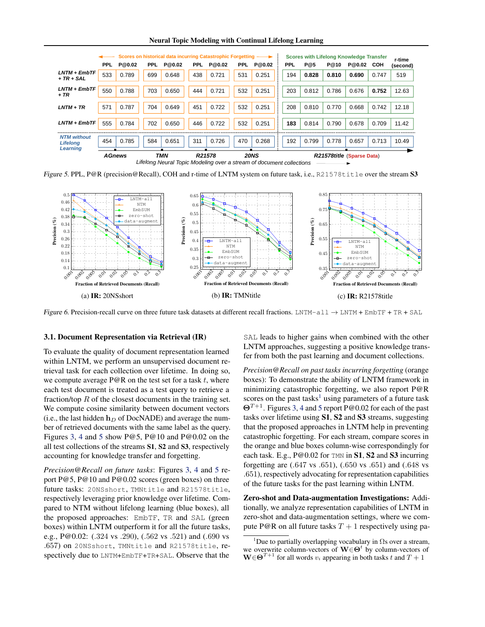Neural Topic Modeling with Continual Lifelong Learning

<span id="page-6-0"></span>

|                                       |                                                                      |        |      | Scores on historical data incurring Catastrophic Forgetting |            |        |            |             |  |     |       |       | <b>Scores with Lifelong Knowledge Transfer</b> |       | r-time   |
|---------------------------------------|----------------------------------------------------------------------|--------|------|-------------------------------------------------------------|------------|--------|------------|-------------|--|-----|-------|-------|------------------------------------------------|-------|----------|
|                                       | <b>PPL</b>                                                           | P@0.02 | PPL. | P@0.02                                                      | <b>PPL</b> | P@0.02 | <b>PPL</b> | P@0.02      |  | PPL | P@5   | P@10  | P@0.02                                         | COH   | (second) |
| $LNTM + EmbTF$<br>+ TR + SAL          | 533                                                                  | 0.789  | 699  | 0.648                                                       | 438        | 0.721  | 531        | 0.251       |  | 194 | 0.828 | 0.810 | 0.690                                          | 0.747 | 519      |
|                                       |                                                                      |        |      |                                                             |            |        |            |             |  |     |       |       |                                                |       |          |
| $LNTM + EmbTF$<br>+ TR                | 550                                                                  | 0.788  | 703  | 0.650                                                       | 444        | 0.721  | 532        | 0.251       |  | 203 | 0.812 | 0.786 | 0.676                                          | 0.752 | 12.63    |
|                                       |                                                                      |        |      |                                                             |            |        |            |             |  |     |       |       |                                                |       |          |
| $LNTM + TR$                           | 571                                                                  | 0.787  | 704  | 0.649                                                       | 451        | 0.722  | 532        | 0.251       |  | 208 | 0.810 | 0.770 | 0.668                                          | 0.742 | 12.18    |
|                                       |                                                                      |        |      |                                                             |            |        |            |             |  |     |       |       |                                                |       |          |
| $LNTM + EmbTF$                        | 555                                                                  | 0.784  | 702  | 0.650                                                       | 446        | 0.722  | 532        | 0.251       |  | 183 | 0.814 | 0.790 | 0.678                                          | 0.709 | 11.42    |
|                                       |                                                                      |        |      |                                                             |            |        |            |             |  |     |       |       |                                                |       |          |
| <b>NTM</b> without<br><b>Lifelong</b> | 454                                                                  | 0.785  | 584  | 0.651                                                       | 311        | 0.726  | 470        | 0.268       |  | 192 | 0.799 | 0.778 | 0.657                                          | 0.713 | 10.49    |
| Learning                              | <b>AGnews</b>                                                        |        |      | TMN                                                         | R21578     |        |            | <b>20NS</b> |  |     |       |       | R21578title (Sparse Data)                      |       |          |
|                                       | Lifelong Neural Topic Modeling over a stream of document collections |        |      |                                                             |            |        |            |             |  |     |       |       |                                                |       |          |

Figure 5. PPL, P@R (precision@Recall), COH and r-time of LNTM system on future task, i.e., R21578title over the stream S3



Figure 6. Precision-recall curve on three future task datasets at different recall fractions. LNTM-all  $\rightarrow$  LNTM + EmbTF + TR + SAL

#### 3.1. Document Representation via Retrieval (IR)

To evaluate the quality of document representation learned within LNTM, we perform an unsupervised document retrieval task for each collection over lifetime. In doing so, we compute average  $P@R$  on the test set for a task t, where each test document is treated as a test query to retrieve a fraction/top  $R$  of the closest documents in the training set. We compute cosine similarity between document vectors (i.e., the last hidden  $h_D$  of DocNADE) and average the number of retrieved documents with the same label as the query. Figures [3,](#page-5-0) [4](#page-5-0) and 5 show P@5, P@10 and P@0.02 on the all test collections of the streams S1, S2 and S3, respectively accounting for knowledge transfer and forgetting.

*Precision@Recall on future tasks*: Figures [3,](#page-5-0) [4](#page-5-0) and 5 report P@5, P@10 and P@0.02 scores (green boxes) on three future tasks: 20NSshort, TMNtitle and R21578title, respectively leveraging prior knowledge over lifetime. Compared to NTM without lifelong learning (blue boxes), all the proposed approaches: EmbTF, TR and SAL (green boxes) within LNTM outperform it for all the future tasks, e.g., P@0.02: (.324 vs .290), (.562 vs .521) and (.690 vs .657) on 20NSshort, TMNtitle and R21578title, respectively due to LNTM+EmbTF+TR+SAL. Observe that the

SAL leads to higher gains when combined with the other LNTM approaches, suggesting a positive knowledge transfer from both the past learning and document collections.

*Precision@Recall on past tasks incurring forgetting* (orange boxes): To demonstrate the ability of LNTM framework in minimizing catastrophic forgetting, we also report P@R scores on the past tasks<sup>1</sup> using parameters of a future task  $\Theta^{T+1}$ . Figures [3,](#page-5-0) [4](#page-5-0) and 5 report P@0.02 for each of the past tasks over lifetime using S1, S2 and S3 streams, suggesting that the proposed approaches in LNTM help in preventing catastrophic forgetting. For each stream, compare scores in the orange and blue boxes column-wise correspondingly for each task. E.g.,  $P@0.02$  for TMN in **S1**, **S2** and **S3** incurring forgetting are (.647 vs .651), (.650 vs .651) and (.648 vs .651), respectively advocating for representation capabilities of the future tasks for the past learning within LNTM.

Zero-shot and Data-augmentation Investigations: Additionally, we analyze representation capabilities of LNTM in zero-shot and data-augmentation settings, where we compute P@R on all future tasks  $T + 1$  respectively using pa-

<sup>&</sup>lt;sup>1</sup>Due to partially overlapping vocabulary in  $\Omega$ s over a stream, we overwrite column-vectors of  $\mathbf{W} \in \Theta^t$  by column-vectors of  $\mathbf{W} \in \Theta^{T+1}$  for all words  $v_i$  appearing in both tasks t and  $T+1$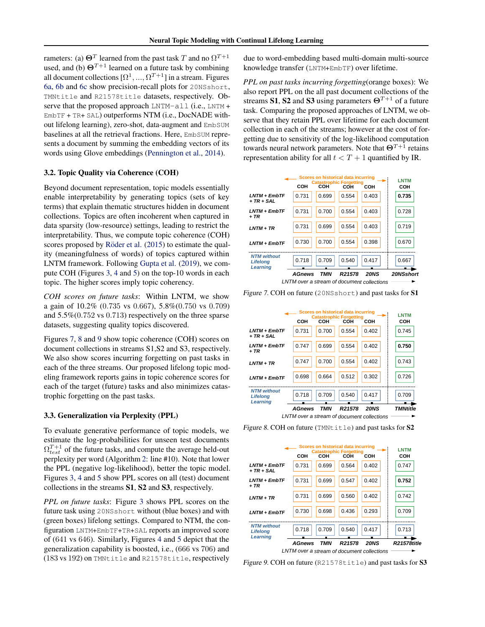rameters: (a)  $\mathbf{\Theta}^T$  learned from the past task  $T$  and no  $\Omega^{T+1}$ used, and (b)  $\Theta^{T+1}$  learned on a future task by combining all document collections  $[\Omega^1, ..., \Omega^{T+1}]$  in a stream. Figures [6a,](#page-6-0) [6b](#page-6-0) and [6c](#page-6-0) show precision-recall plots for 20NSshort, TMNtitle and R21578title datasets, respectively. Observe that the proposed approach LNTM-all (i.e., LNTM +  $EmbTF + TR + SAL)$  outperforms NTM (i.e., DocNADE without lifelong learning), zero-shot, data-augment and EmbSUM baselines at all the retrieval fractions. Here, EmbSUM represents a document by summing the embedding vectors of its words using Glove embeddings [\(Pennington et al.,](#page-9-0) [2014\)](#page-9-0).

### 3.2. Topic Quality via Coherence (COH)

Beyond document representation, topic models essentially enable interpretability by generating topics (sets of key terms) that explain thematic structures hidden in document collections. Topics are often incoherent when captured in data sparsity (low-resource) settings, leading to restrict the interpretability. Thus, we compute topic coherence (COH) scores proposed by Röder et al. [\(2015\)](#page-10-0) to estimate the quality (meaningfulness of words) of topics captured within LNTM framework. Following [Gupta et al.](#page-9-0) [\(2019\)](#page-9-0), we compute COH (Figures [3,](#page-5-0) [4](#page-5-0) and [5\)](#page-6-0) on the top-10 words in each topic. The higher scores imply topic coherency.

*COH scores on future tasks*: Within LNTM, we show a gain of 10.2% (0.735 vs 0.667), 5.8%(0.750 vs 0.709) and 5.5%(0.752 vs 0.713) respectively on the three sparse datasets, suggesting quality topics discovered.

Figures 7, 8 and 9 show topic coherence (COH) scores on document collections in streams S1,S2 and S3, respectively. We also show scores incurring forgetting on past tasks in each of the three streams. Our proposed lifelong topic modeling framework reports gains in topic coherence scores for each of the target (future) tasks and also minimizes catastrophic forgetting on the past tasks.

### 3.3. Generalization via Perplexity (PPL)

To evaluate generative performance of topic models, we estimate the log-probabilities for unseen test documents  $\Omega_{test}^{T+1}$  of the future tasks, and compute the average held-out perplexity per word (Algorithm [2:](#page-4-0) line #10). Note that lower the PPL (negative log-likelihood), better the topic model. Figures [3,](#page-5-0) [4](#page-5-0) and [5](#page-6-0) show PPL scores on all (test) document collections in the streams S1, S2 and S3, respectively.

*PPL on future tasks*: Figure [3](#page-5-0) shows PPL scores on the future task using 20NSshort without (blue boxes) and with (green boxes) lifelong settings. Compared to NTM, the configuration LNTM+EmbTF+TR+SAL reports an improved score of (641 vs 646). Similarly, Figures [4](#page-5-0) and [5](#page-6-0) depict that the generalization capability is boosted, i.e., (666 vs 706) and (183 vs 192) on TMNtitle and R21578title, respectively

due to word-embedding based multi-domain multi-source knowledge transfer (LNTM+EmbTF) over lifetime.

*PPL on past tasks incurring forgetting*(orange boxes): We also report PPL on the all past document collections of the streams S1, S2 and S3 using parameters  $\Theta^{T+1}$  of a future task. Comparing the proposed approaches of LNTM, we observe that they retain PPL over lifetime for each document collection in each of the streams; however at the cost of forgetting due to sensitivity of the log-likelihood computation towards neural network parameters. Note that  $\Theta^{T+1}$  retains representation ability for all  $t < T + 1$  quantified by IR.



Figure 7. COH on future (20NSshort) and past tasks for S1

|                                                   |                                            |       | Scores on historical data incurring<br><b>Catastrophic Forgetting</b> |             | <b>LNTM</b>     |
|---------------------------------------------------|--------------------------------------------|-------|-----------------------------------------------------------------------|-------------|-----------------|
|                                                   | COH                                        | сон   | сон                                                                   | сон         | сон             |
| <b>LNTM + EmbTF</b><br>$+ TR + SAL$               | 0.731                                      | 0.700 | 0.554                                                                 | 0.402       | 0.745           |
| LNTM + EmbTF<br>+ TR                              | 0.747                                      | 0.699 | 0.554                                                                 | 0.402       | 0.750           |
| LNTM + TR                                         | 0.747                                      | 0.700 | 0.554                                                                 | 0.402       | 0.743           |
| $LNTM + EmbTF$                                    | 0.698                                      | 0.664 | 0.512                                                                 | 0.302       | 0.726           |
| <b>NTM without</b><br><b>Lifelong</b><br>Learning | 0.718                                      | 0.709 | 0.540                                                                 | 0.417       | 0.709           |
|                                                   | <b>AGnews</b>                              | TMN   | R21578                                                                | <b>20NS</b> | <b>TMNtitle</b> |
|                                                   | LNTM over a stream of document collections |       |                                                                       |             |                 |

Figure 8. COH on future (TMNtitle) and past tasks for S2

|                                            |               |            | Scores on historical data incurring<br><b>Catastrophic Forgetting</b> |             | <b>LNTM</b>        |  |  |
|--------------------------------------------|---------------|------------|-----------------------------------------------------------------------|-------------|--------------------|--|--|
|                                            | COH           | сон        | сон                                                                   | сон         | сон                |  |  |
| <b>LNTM + EmbTF</b><br>$+ TR + SAL$        | 0.731         | 0.699      | 0.564                                                                 | 0.402       | 0.747              |  |  |
| $LNTM + EmbTF$<br>+ TR                     | 0.731         | 0.699      | 0.547                                                                 | 0.402       | 0.752              |  |  |
| $LNTM + TR$                                | 0.731         | 0.699      | 0.560                                                                 | 0.402       | 0.742              |  |  |
| $LNTM + EmbTF$                             | 0.730         | 0.698      | 0.436                                                                 | 0.293       | 0.709              |  |  |
| <b>NTM without</b><br>Lifelong<br>Learning | 0.718         | 0.709      | 0.540                                                                 | 0.417       | 0.713              |  |  |
|                                            | <b>AGnews</b> | <b>TMN</b> | R21578                                                                | <b>20NS</b> | <b>R21578title</b> |  |  |
| LNTM over a stream of document collections |               |            |                                                                       |             |                    |  |  |

Figure 9. COH on future (R21578title) and past tasks for S3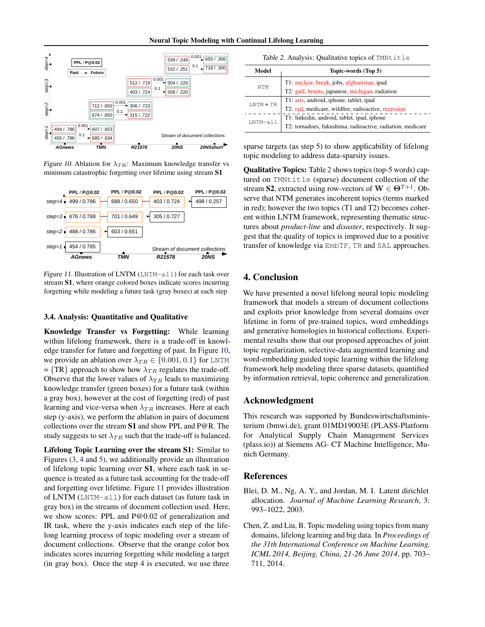<span id="page-8-0"></span>

Figure 10. Ablation for  $\lambda_{TR}$ : Maximum knowledge transfer vs minimum catastrophic forgetting over lifetime using stream S1



Figure 11. Illustration of LNTM (LNTM-all) for each task over stream S1, where orange colored boxes indicate scores incurring forgetting while modeling a future task (gray boxes) at each step

### 3.4. Analysis: Quantitative and Qualitative

Knowledge Transfer vs Forgetting: While learning within lifelong framework, there is a trade-off in knowledge transfer for future and forgetting of past. In Figure 10, we provide an ablation over  $\lambda_{TR} \in \{0.001, 0.1\}$  for LNTM = {TR} approach to show how  $\lambda_{TR}$  regulates the trade-off. Observe that the lower values of  $\lambda_{TR}$  leads to maximizing knowledge transfer (green boxes) for a future task (within a gray box), however at the cost of forgetting (red) of past learning and vice-versa when  $\lambda_{TR}$  increases. Here at each step (y-axis), we perform the ablation in pairs of document collections over the stream S1 and show PPL and P@R. The study suggests to set  $\lambda_{TR}$  such that the trade-off is balanced.

Lifelong Topic Learning over the stream S1: Similar to Figures [\(3,](#page-5-0) [4](#page-5-0) and [5\)](#page-6-0), we additionally provide an illustration of lifelong topic learning over S1, where each task in sequence is treated as a future task accounting for the trade-off and forgetting over lifetime. Figure 11 provides illustration of LNTM (LNTM-all) for each dataset (as future task in gray box) in the streams of document collection used. Here, we show scores: PPL and P@0.02 of generalization and IR task, where the y-axis indicates each step of the lifelong learning process of topic modeling over a stream of document collections. Observe that the orange color box indicates scores incurring forgetting while modeling a target (in gray box). Once the step 4 is executed, we use three

|              | Table 2. Analysis: Qualitative topics of TMNtitle          |  |  |  |  |  |  |  |  |
|--------------|------------------------------------------------------------|--|--|--|--|--|--|--|--|
| Model        | Topic-words (Top 5)                                        |  |  |  |  |  |  |  |  |
| <b>NTM</b>   | T1: nuclear, break, jobs, afghanistan, ipad                |  |  |  |  |  |  |  |  |
|              | T2: gulf, bruins, japanese, michigan, radiation            |  |  |  |  |  |  |  |  |
| $I.NTM + TR$ | T1: arts, android, iphone, tablet, ipad                    |  |  |  |  |  |  |  |  |
|              | T2: rail, medicare, wildfire, radioactive, recession       |  |  |  |  |  |  |  |  |
| LNTM-all     | T1: linkedin, android, tablet, ipad, iphone                |  |  |  |  |  |  |  |  |
|              | T2: tornadoes, fukushima, radioactive, radiation, medicare |  |  |  |  |  |  |  |  |

sparse targets (as step 5) to show applicability of lifelong topic modeling to address data-sparsity issues.

Qualitative Topics: Table 2 shows topics (top-5 words) captured on TMNtitle (sparse) document collection of the stream S2, extracted using row-vectors of  $\mathbf{W} \in \Theta^{T+1}$ . Observe that NTM generates incoherent topics (terms marked in red); however the two topics (T1 and T2) becomes coherent within LNTM framework, representing thematic structures about *product-line* and *disaster*, respectively. It suggest that the quality of topics is improved due to a positive transfer of knowledge via EmbTF, TR and SAL approaches.

# 4. Conclusion

We have presented a novel lifelong neural topic modeling framework that models a stream of document collections and exploits prior knowledge from several domains over lifetime in form of pre-trained topics, word embeddings and generative homologies in historical collections. Experimental results show that our proposed approaches of joint topic regularization, selective-data augmented learning and word-embedding guided topic learning within the lifelong framework help modeling three sparse datasets, quantified by information retrieval, topic coherence and generalization.

# Acknowledgment

This research was supported by Bundeswirtschaftsministerium (bmwi.de), grant 01MD19003E (PLASS-Platform for Analytical Supply Chain Management Services (plass.io)) at Siemens AG- CT Machine Intelligence, Munich Germany.

### References

- Blei, D. M., Ng, A. Y., and Jordan, M. I. Latent dirichlet allocation. *Journal of Machine Learning Research*, 3: 993–1022, 2003.
- Chen, Z. and Liu, B. Topic modeling using topics from many domains, lifelong learning and big data. In *Proceedings of the 31th International Conference on Machine Learning, ICML 2014, Beijing, China, 21-26 June 2014*, pp. 703– 711, 2014.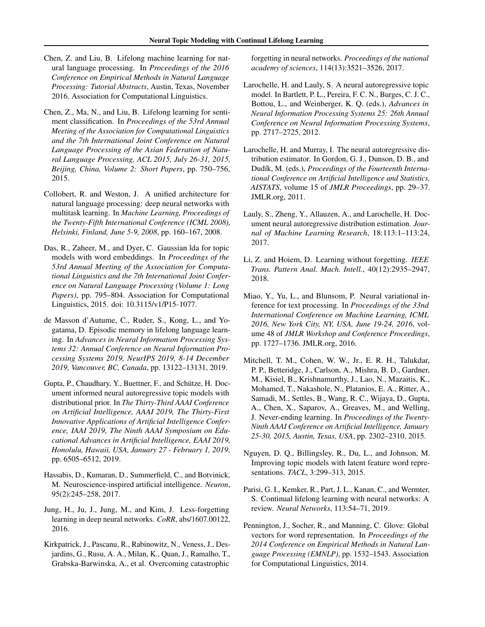- <span id="page-9-0"></span>Chen, Z. and Liu, B. Lifelong machine learning for natural language processing. In *Proceedings of the 2016 Conference on Empirical Methods in Natural Language Processing: Tutorial Abstracts*, Austin, Texas, November 2016. Association for Computational Linguistics.
- Chen, Z., Ma, N., and Liu, B. Lifelong learning for sentiment classification. In *Proceedings of the 53rd Annual Meeting of the Association for Computational Linguistics and the 7th International Joint Conference on Natural Language Processing of the Asian Federation of Natural Language Processing, ACL 2015, July 26-31, 2015, Beijing, China, Volume 2: Short Papers*, pp. 750–756, 2015.
- Collobert, R. and Weston, J. A unified architecture for natural language processing: deep neural networks with multitask learning. In *Machine Learning, Proceedings of the Twenty-Fifth International Conference (ICML 2008), Helsinki, Finland, June 5-9, 2008*, pp. 160–167, 2008.
- Das, R., Zaheer, M., and Dyer, C. Gaussian lda for topic models with word embeddings. In *Proceedings of the 53rd Annual Meeting of the Association for Computational Linguistics and the 7th International Joint Conference on Natural Language Processing (Volume 1: Long Papers)*, pp. 795–804. Association for Computational Linguistics, 2015. doi: 10.3115/v1/P15-1077.
- de Masson d'Autume, C., Ruder, S., Kong, L., and Yogatama, D. Episodic memory in lifelong language learning. In *Advances in Neural Information Processing Systems 32: Annual Conference on Neural Information Processing Systems 2019, NeurIPS 2019, 8-14 December 2019, Vancouver, BC, Canada*, pp. 13122–13131, 2019.
- Gupta, P., Chaudhary, Y., Buettner, F., and Schütze, H. Document informed neural autoregressive topic models with distributional prior. In *The Thirty-Third AAAI Conference on Artificial Intelligence, AAAI 2019, The Thirty-First Innovative Applications of Artificial Intelligence Conference, IAAI 2019, The Ninth AAAI Symposium on Educational Advances in Artificial Intelligence, EAAI 2019, Honolulu, Hawaii, USA, January 27 - February 1, 2019*, pp. 6505–6512, 2019.
- Hassabis, D., Kumaran, D., Summerfield, C., and Botvinick, M. Neuroscience-inspired artificial intelligence. *Neuron*, 95(2):245–258, 2017.
- Jung, H., Ju, J., Jung, M., and Kim, J. Less-forgetting learning in deep neural networks. *CoRR*, abs/1607.00122, 2016.
- Kirkpatrick, J., Pascanu, R., Rabinowitz, N., Veness, J., Desjardins, G., Rusu, A. A., Milan, K., Quan, J., Ramalho, T., Grabska-Barwinska, A., et al. Overcoming catastrophic

forgetting in neural networks. *Proceedings of the national academy of sciences*, 114(13):3521–3526, 2017.

- Larochelle, H. and Lauly, S. A neural autoregressive topic model. In Bartlett, P. L., Pereira, F. C. N., Burges, C. J. C., Bottou, L., and Weinberger, K. Q. (eds.), *Advances in Neural Information Processing Systems 25: 26th Annual Conference on Neural Information Processing Systems*, pp. 2717–2725, 2012.
- Larochelle, H. and Murray, I. The neural autoregressive distribution estimator. In Gordon, G. J., Dunson, D. B., and Dudík, M. (eds.), Proceedings of the Fourteenth Interna*tional Conference on Artificial Intelligence and Statistics, AISTATS*, volume 15 of *JMLR Proceedings*, pp. 29–37. JMLR.org, 2011.
- Lauly, S., Zheng, Y., Allauzen, A., and Larochelle, H. Document neural autoregressive distribution estimation. *Journal of Machine Learning Research*, 18:113:1–113:24, 2017.
- Li, Z. and Hoiem, D. Learning without forgetting. *IEEE Trans. Pattern Anal. Mach. Intell.*, 40(12):2935–2947, 2018.
- Miao, Y., Yu, L., and Blunsom, P. Neural variational inference for text processing. In *Proceedings of the 33nd International Conference on Machine Learning, ICML 2016, New York City, NY, USA, June 19-24, 2016*, volume 48 of *JMLR Workshop and Conference Proceedings*, pp. 1727–1736. JMLR.org, 2016.
- Mitchell, T. M., Cohen, W. W., Jr., E. R. H., Talukdar, P. P., Betteridge, J., Carlson, A., Mishra, B. D., Gardner, M., Kisiel, B., Krishnamurthy, J., Lao, N., Mazaitis, K., Mohamed, T., Nakashole, N., Platanios, E. A., Ritter, A., Samadi, M., Settles, B., Wang, R. C., Wijaya, D., Gupta, A., Chen, X., Saparov, A., Greaves, M., and Welling, J. Never-ending learning. In *Proceedings of the Twenty-Ninth AAAI Conference on Artificial Intelligence, January 25-30, 2015, Austin, Texas, USA*, pp. 2302–2310, 2015.
- Nguyen, D. Q., Billingsley, R., Du, L., and Johnson, M. Improving topic models with latent feature word representations. *TACL*, 3:299–313, 2015.
- Parisi, G. I., Kemker, R., Part, J. L., Kanan, C., and Wermter, S. Continual lifelong learning with neural networks: A review. *Neural Networks*, 113:54–71, 2019.
- Pennington, J., Socher, R., and Manning, C. Glove: Global vectors for word representation. In *Proceedings of the 2014 Conference on Empirical Methods in Natural Language Processing (EMNLP)*, pp. 1532–1543. Association for Computational Linguistics, 2014.